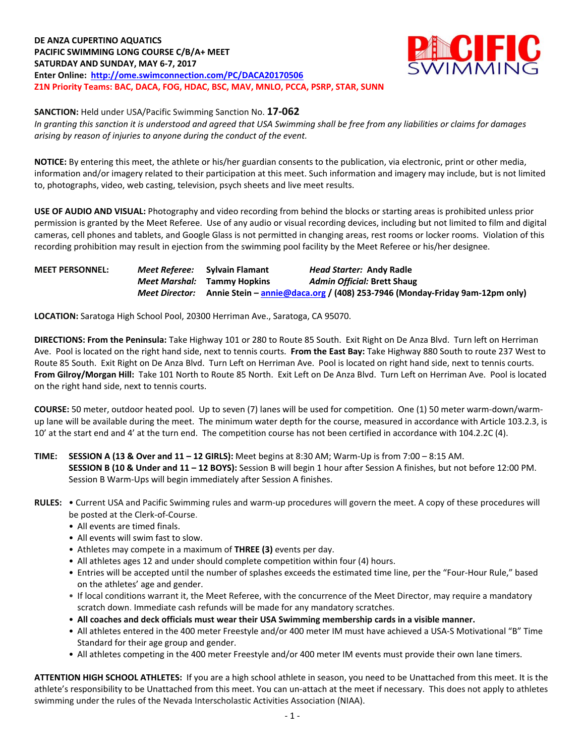**DE ANZA CUPERTINO AQUATICS PACIFIC SWIMMING LONG COURSE C/B/A+ MEET SATURDAY AND SUNDAY, MAY 6-7, 2017 Enter Online: <http://ome.swimconnection.com/PC/DACA20170506> Z1N Priority Teams: BAC, DACA, FOG, HDAC, BSC, MAV, MNLO, PCCA, PSRP, STAR, SUNN**



**SANCTION:** Held under USA/Pacific Swimming Sanction No. **17-062**

*In granting this sanction it is understood and agreed that USA Swimming shall be free from any liabilities or claims for damages arising by reason of injuries to anyone during the conduct of the event.*

**NOTICE:** By entering this meet, the athlete or his/her guardian consents to the publication, via electronic, print or other media, information and/or imagery related to their participation at this meet. Such information and imagery may include, but is not limited to, photographs, video, web casting, television, psych sheets and live meet results.

**USE OF AUDIO AND VISUAL:** Photography and video recording from behind the blocks or starting areas is prohibited unless prior permission is granted by the Meet Referee. Use of any audio or visual recording devices, including but not limited to film and digital cameras, cell phones and tablets, and Google Glass is not permitted in changing areas, rest rooms or locker rooms. Violation of this recording prohibition may result in ejection from the swimming pool facility by the Meet Referee or his/her designee.

**MEET PERSONNEL:** *Meet Referee:* **Sylvain Flamant** *Head Starter:* **Andy Radle** *Meet Marshal:* **Tammy Hopkins** *Admin Official:* **Brett Shaug** *Meet Director:* **Annie Stein – [annie@daca.org](mailto:annie@daca.org) / (408) 253-7946 (Monday-Friday 9am-12pm only)**

**LOCATION:** Saratoga High School Pool, 20300 Herriman Ave., Saratoga, CA 95070.

**DIRECTIONS: From the Peninsula:** Take Highway 101 or 280 to Route 85 South. Exit Right on De Anza Blvd. Turn left on Herriman Ave. Pool is located on the right hand side, next to tennis courts. **From the East Bay:** Take Highway 880 South to route 237 West to Route 85 South. Exit Right on De Anza Blvd. Turn Left on Herriman Ave. Pool is located on right hand side, next to tennis courts. **From Gilroy/Morgan Hill:** Take 101 North to Route 85 North. Exit Left on De Anza Blvd. Turn Left on Herriman Ave. Pool is located on the right hand side, next to tennis courts.

**COURSE:** 50 meter, outdoor heated pool. Up to seven (7) lanes will be used for competition. One (1) 50 meter warm-down/warmup lane will be available during the meet. The minimum water depth for the course, measured in accordance with Article 103.2.3, is 10' at the start end and 4' at the turn end. The competition course has not been certified in accordance with 104.2.2C (4).

**TIME: SESSION A (13 & Over and 11 – 12 GIRLS):** Meet begins at 8:30 AM; Warm-Up is from 7:00 – 8:15 AM. **SESSION B (10 & Under and 11 – 12 BOYS):** Session B will begin 1 hour after Session A finishes, but not before 12:00 PM. Session B Warm-Ups will begin immediately after Session A finishes.

- All events are timed finals.
- All events will swim fast to slow.
- Athletes may compete in a maximum of **THREE (3)** events per day.
- All athletes ages 12 and under should complete competition within four (4) hours.
- Entries will be accepted until the number of splashes exceeds the estimated time line, per the "Four-Hour Rule," based on the athletes' age and gender.
- If local conditions warrant it, the Meet Referee, with the concurrence of the Meet Director, may require a mandatory scratch down. Immediate cash refunds will be made for any mandatory scratches.
- **All coaches and deck officials must wear their USA Swimming membership cards in a visible manner.**
- All athletes entered in the 400 meter Freestyle and/or 400 meter IM must have achieved a USA-S Motivational "B" Time Standard for their age group and gender.
- All athletes competing in the 400 meter Freestyle and/or 400 meter IM events must provide their own lane timers.

**ATTENTION HIGH SCHOOL ATHLETES:** If you are a high school athlete in season, you need to be Unattached from this meet. It is the athlete's responsibility to be Unattached from this meet. You can un-attach at the meet if necessary. This does not apply to athletes swimming under the rules of the Nevada Interscholastic Activities Association (NIAA).

**RULES:** • Current USA and Pacific Swimming rules and warm-up procedures will govern the meet. A copy of these procedures will be posted at the Clerk-of-Course.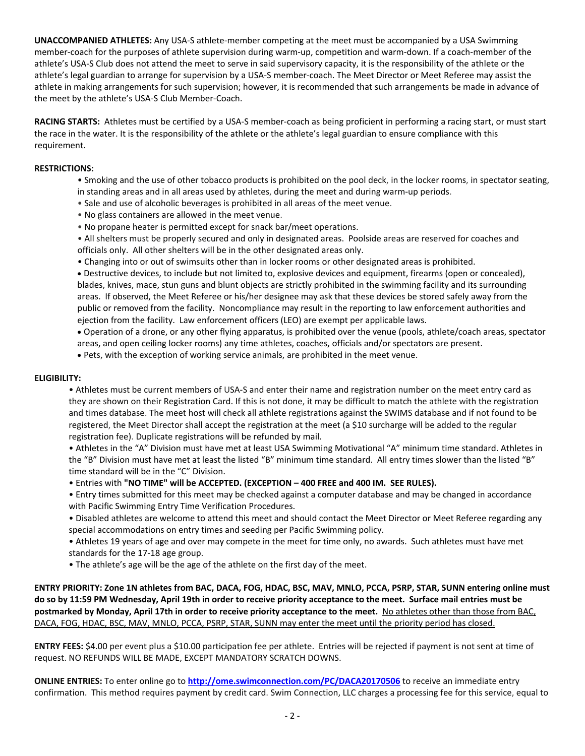**UNACCOMPANIED ATHLETES:** Any USA-S athlete-member competing at the meet must be accompanied by a USA Swimming member-coach for the purposes of athlete supervision during warm-up, competition and warm-down. If a coach-member of the athlete's USA-S Club does not attend the meet to serve in said supervisory capacity, it is the responsibility of the athlete or the athlete's legal guardian to arrange for supervision by a USA-S member-coach. The Meet Director or Meet Referee may assist the athlete in making arrangements for such supervision; however, it is recommended that such arrangements be made in advance of the meet by the athlete's USA-S Club Member-Coach.

**RACING STARTS:** Athletes must be certified by a USA-S member-coach as being proficient in performing a racing start, or must start the race in the water. It is the responsibility of the athlete or the athlete's legal guardian to ensure compliance with this requirement.

## **RESTRICTIONS:**

- Smoking and the use of other tobacco products is prohibited on the pool deck, in the locker rooms, in spectator seating, in standing areas and in all areas used by athletes, during the meet and during warm-up periods.
- Sale and use of alcoholic beverages is prohibited in all areas of the meet venue.
- No glass containers are allowed in the meet venue.
- No propane heater is permitted except for snack bar/meet operations.
- All shelters must be properly secured and only in designated areas. Poolside areas are reserved for coaches and officials only. All other shelters will be in the other designated areas only.
- Changing into or out of swimsuits other than in locker rooms or other designated areas is prohibited.

 Destructive devices, to include but not limited to, explosive devices and equipment, firearms (open or concealed), blades, knives, mace, stun guns and blunt objects are strictly prohibited in the swimming facility and its surrounding areas. If observed, the Meet Referee or his/her designee may ask that these devices be stored safely away from the public or removed from the facility. Noncompliance may result in the reporting to law enforcement authorities and ejection from the facility. Law enforcement officers (LEO) are exempt per applicable laws.

 Operation of a drone, or any other flying apparatus, is prohibited over the venue (pools, athlete/coach areas, spectator areas, and open ceiling locker rooms) any time athletes, coaches, officials and/or spectators are present.

Pets, with the exception of working service animals, are prohibited in the meet venue.

## **ELIGIBILITY:**

• Athletes must be current members of USA-S and enter their name and registration number on the meet entry card as they are shown on their Registration Card. If this is not done, it may be difficult to match the athlete with the registration and times database. The meet host will check all athlete registrations against the SWIMS database and if not found to be registered, the Meet Director shall accept the registration at the meet (a \$10 surcharge will be added to the regular registration fee). Duplicate registrations will be refunded by mail.

• Athletes in the "A" Division must have met at least USA Swimming Motivational "A" minimum time standard. Athletes in the "B" Division must have met at least the listed "B" minimum time standard. All entry times slower than the listed "B" time standard will be in the "C" Division.

• Entries with **"NO TIME" will be ACCEPTED. (EXCEPTION – 400 FREE and 400 IM. SEE RULES).**

- Entry times submitted for this meet may be checked against a computer database and may be changed in accordance with Pacific Swimming Entry Time Verification Procedures.
- Disabled athletes are welcome to attend this meet and should contact the Meet Director or Meet Referee regarding any special accommodations on entry times and seeding per Pacific Swimming policy.
- Athletes 19 years of age and over may compete in the meet for time only, no awards. Such athletes must have met standards for the 17-18 age group.
- The athlete's age will be the age of the athlete on the first day of the meet.

**ENTRY PRIORITY: Zone 1N athletes from BAC, DACA, FOG, HDAC, BSC, MAV, MNLO, PCCA, PSRP, STAR, SUNN entering online must do so by 11:59 PM Wednesday, April 19th in order to receive priority acceptance to the meet. Surface mail entries must be postmarked by Monday, April 17th in order to receive priority acceptance to the meet.** No athletes other than those from BAC, DACA, FOG, HDAC, BSC, MAV, MNLO, PCCA, PSRP, STAR, SUNN may enter the meet until the priority period has closed.

**ENTRY FEES:** \$4.00 per event plus a \$10.00 participation fee per athlete. Entries will be rejected if payment is not sent at time of request. NO REFUNDS WILL BE MADE, EXCEPT MANDATORY SCRATCH DOWNS.

**ONLINE ENTRIES:** To enter online go to **<http://ome.swimconnection.com/PC/DACA20170506>** to receive an immediate entry confirmation. This method requires payment by credit card. Swim Connection, LLC charges a processing fee for this service, equal to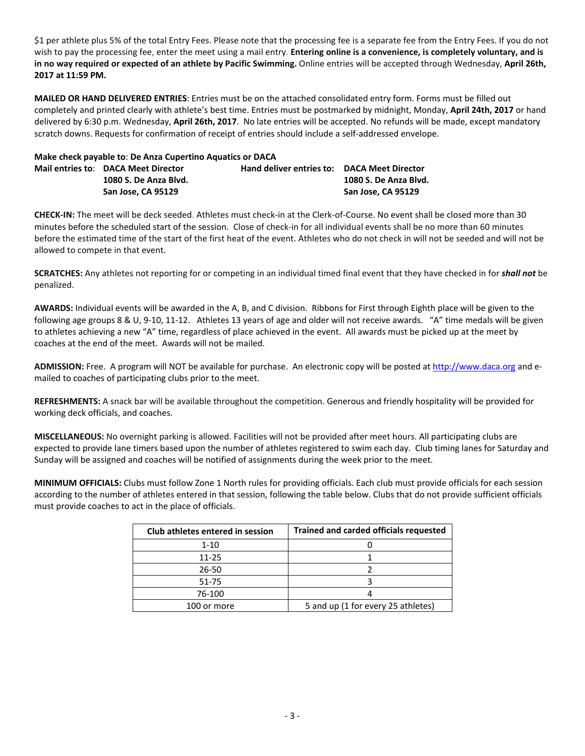\$1 per athlete plus 5% of the total Entry Fees. Please note that the processing fee is a separate fee from the Entry Fees. If you do not wish to pay the processing fee, enter the meet using a mail entry. **Entering online is a convenience, is completely voluntary, and is in no way required or expected of an athlete by Pacific Swimming.** Online entries will be accepted through Wednesday, **April 26th, 2017 at 11:59 PM.**

**MAILED OR HAND DELIVERED ENTRIES**: Entries must be on the attached consolidated entry form. Forms must be filled out completely and printed clearly with athlete's best time. Entries must be postmarked by midnight, Monday, **April 24th, 2017** or hand delivered by 6:30 p.m. Wednesday, **April 26th, 2017**. No late entries will be accepted. No refunds will be made, except mandatory scratch downs. Requests for confirmation of receipt of entries should include a self-addressed envelope.

| Make check payable to: De Anza Cupertino Aquatics or DACA |                                             |                       |
|-----------------------------------------------------------|---------------------------------------------|-----------------------|
| Mail entries to: DACA Meet Director                       | Hand deliver entries to: DACA Meet Director |                       |
| 1080 S. De Anza Blvd.                                     |                                             | 1080 S. De Anza Blyd. |
| San Jose, CA 95129                                        |                                             | San Jose, CA 95129    |

**CHECK-IN:** The meet will be deck seeded. Athletes must check-in at the Clerk-of-Course. No event shall be closed more than 30 minutes before the scheduled start of the session. Close of check-in for all individual events shall be no more than 60 minutes before the estimated time of the start of the first heat of the event. Athletes who do not check in will not be seeded and will not be allowed to compete in that event.

**SCRATCHES:** Any athletes not reporting for or competing in an individual timed final event that they have checked in for *shall not* be penalized.

**AWARDS:** Individual events will be awarded in the A, B, and C division. Ribbons for First through Eighth place will be given to the following age groups 8 & U, 9-10, 11-12. Athletes 13 years of age and older will not receive awards. "A" time medals will be given to athletes achieving a new "A" time, regardless of place achieved in the event. All awards must be picked up at the meet by coaches at the end of the meet. Awards will not be mailed.

**ADMISSION:** Free. A program will NOT be available for purchase. An electronic copy will be posted at [http://www.daca.org](http://www.daca.org/) and emailed to coaches of participating clubs prior to the meet.

**REFRESHMENTS:** A snack bar will be available throughout the competition. Generous and friendly hospitality will be provided for working deck officials, and coaches.

**MISCELLANEOUS:** No overnight parking is allowed. Facilities will not be provided after meet hours. All participating clubs are expected to provide lane timers based upon the number of athletes registered to swim each day. Club timing lanes for Saturday and Sunday will be assigned and coaches will be notified of assignments during the week prior to the meet.

**MINIMUM OFFICIALS:** Clubs must follow Zone 1 North rules for providing officials. Each club must provide officials for each session according to the number of athletes entered in that session, following the table below. Clubs that do not provide sufficient officials must provide coaches to act in the place of officials.

| Club athletes entered in session | Trained and carded officials requested |  |  |  |  |  |
|----------------------------------|----------------------------------------|--|--|--|--|--|
| 1-10                             |                                        |  |  |  |  |  |
| $11 - 25$                        |                                        |  |  |  |  |  |
| 26-50                            |                                        |  |  |  |  |  |
| 51-75                            |                                        |  |  |  |  |  |
| 76-100                           |                                        |  |  |  |  |  |
| 100 or more                      | 5 and up (1 for every 25 athletes)     |  |  |  |  |  |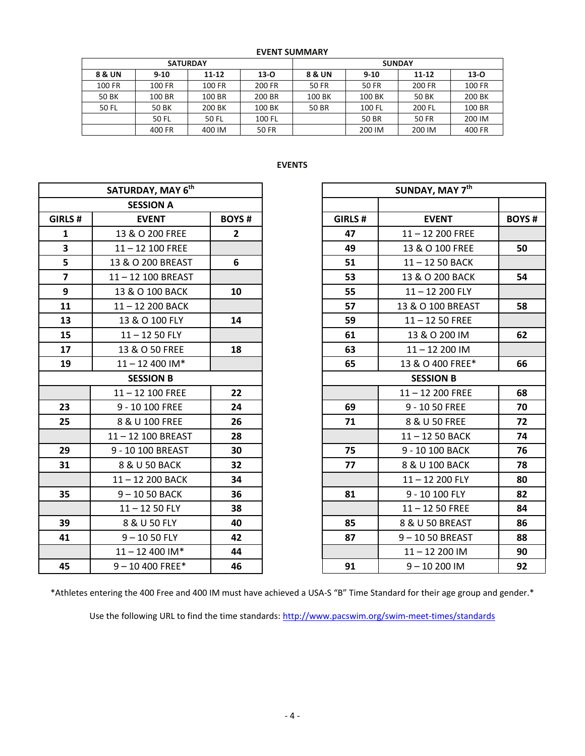| <b>EVENT SUMMARY</b> |  |
|----------------------|--|
|----------------------|--|

|        | <b>SATURDAY</b> |           |        | <b>SUNDAY</b> |          |           |          |  |  |
|--------|-----------------|-----------|--------|---------------|----------|-----------|----------|--|--|
| 8 & UN | $9 - 10$        | $11 - 12$ | $13-0$ | 8 & UN        | $9 - 10$ | $11 - 12$ | $13 - 0$ |  |  |
| 100 FR | 100 FR          | 100 FR    | 200 FR | 50 FR         | 50 FR    | 200 FR    | 100 FR   |  |  |
| 50 BK  | 100 BR          | 100 BR    | 200 BR | 100 BK        | 100 BK   | 50 BK     | 200 BK   |  |  |
| 50 FL  | 50 BK           | 200 BK    | 100 BK | 50 BR         | 100 FL   | 200 FL    | 100 BR   |  |  |
|        | 50 FL           | 50 FL     | 100 FL |               | 50 BR    | 50 FR     | 200 IM   |  |  |
|        | 400 FR          | 400 IM    | 50 FR  |               | 200 IM   | 200 IM    | 400 FR   |  |  |

## **EVENTS**

|                         | SATURDAY, MAY 6 <sup>th</sup> |                   |         | SUNDAY, MAY 7th    |              |  |
|-------------------------|-------------------------------|-------------------|---------|--------------------|--------------|--|
|                         | <b>SESSION A</b>              |                   |         |                    |              |  |
| GIRLS #                 | <b>EVENT</b>                  | <b>BOYS#</b>      | GIRLS # | <b>EVENT</b>       | <b>BOYS#</b> |  |
| $\mathbf{1}$            | 13 & O 200 FREE               | $2^{\circ}$       | 47      | $11 - 12$ 200 FREE |              |  |
| $\overline{\mathbf{3}}$ | $11 - 12$ 100 FREE            |                   | 49      | 13 & O 100 FREE    | 50           |  |
| 5                       | 13 & O 200 BREAST             | 6                 | 51      | 11-12 50 BACK      |              |  |
| $\overline{\mathbf{z}}$ | 11-12 100 BREAST              |                   | 53      | 13 & O 200 BACK    | 54           |  |
| 9                       | 13 & O 100 BACK               | 10                | 55      | $11 - 12200$ FLY   |              |  |
| 11                      | 11-12 200 BACK                |                   | 57      | 13 & O 100 BREAST  | 58           |  |
| 13                      | 13 & O 100 FLY                | 14                | 59      | $11 - 1250$ FREE   |              |  |
| 15                      | $11 - 1250$ FLY               |                   | 61      | 13 & O 200 IM      | 62           |  |
| 17                      | 13 & O 50 FREE                | 18                | 63      | $11 - 12200$ IM    |              |  |
| 19                      | $11 - 12400$ IM*              |                   | 65      | 13 & O 400 FREE*   | 66           |  |
|                         | <b>SESSION B</b>              |                   |         | <b>SESSION B</b>   |              |  |
|                         | $11 - 12$ 100 FREE            | $22 \overline{ }$ |         | $11 - 12200$ FREE  | 68           |  |
| 23                      | 9 - 10 100 FREE               | 24                | 69      | 9 - 10 50 FREE     | 70           |  |
| 25                      | 8 & U 100 FREE                | 26                | 71      | 8 & U 50 FREE      | 72           |  |
|                         | 11-12 100 BREAST              | 28                |         | 11-12 50 BACK      | 74           |  |
| 29                      | 9 - 10 100 BREAST             | 30                | 75      | 9 - 10 100 BACK    | 76           |  |
| 31                      | 8 & U 50 BACK                 | 32                | 77      | 8 & U 100 BACK     | 78           |  |
|                         | 11-12 200 BACK                | 34                |         | $11 - 12200$ FLY   | 80           |  |
| 35                      | $9 - 1050$ BACK               | 36                | 81      | 9 - 10 100 FLY     | 82           |  |
|                         | $11 - 1250$ FLY               | 38                |         | $11 - 1250$ FREE   | 84           |  |
| 39                      | 8 & U 50 FLY                  | 40                | 85      | 8 & U 50 BREAST    | 86           |  |
| 41                      | $9 - 1050$ FLY                | 42                | 87      | 9-1050 BREAST      | 88           |  |
|                         | $11 - 12400$ IM*              | 44                |         | $11 - 12200$ IM    | 90           |  |
| 45                      | $9 - 10400$ FREE*             | 46                | 91      | $9 - 10200$ IM     | 92           |  |

|                         | SATURDAY, MAY 6th  |                |         | SUNDAY, MAY 7th    |  |  |
|-------------------------|--------------------|----------------|---------|--------------------|--|--|
|                         | <b>SESSION A</b>   |                |         |                    |  |  |
| <b>RLS#</b>             | <b>EVENT</b>       | <b>BOYS#</b>   | GIRLS # | <b>EVENT</b>       |  |  |
| $\mathbf{1}$            | 13 & O 200 FREE    | $\overline{2}$ | 47      | $11 - 12$ 200 FREE |  |  |
| $\overline{\mathbf{3}}$ | $11 - 12$ 100 FREE |                | 49      | 13 & O 100 FREE    |  |  |
| $\overline{\mathbf{5}}$ | 13 & O 200 BREAST  | 6              | 51      | 11-12 50 BACK      |  |  |
| $\overline{7}$          | 11-12 100 BREAST   |                | 53      | 13 & O 200 BACK    |  |  |
| $\mathbf{9}$            | 13 & O 100 BACK    | 10             | 55      | $11 - 12200$ FLY   |  |  |
| 11                      | 11-12 200 BACK     |                | 57      | 13 & O 100 BREAST  |  |  |
| 13                      | 13 & O 100 FLY     | 14             | 59      | $11 - 1250$ FREE   |  |  |
| 15                      | $11 - 1250$ FLY    |                | 61      | 13 & O 200 IM      |  |  |
| 17                      | 13 & O 50 FREE     | 18             | 63      | $11 - 12200$ IM    |  |  |
| 19                      | $11 - 12400$ IM*   |                | 65      | 13 & O 400 FREE*   |  |  |
|                         | <b>SESSION B</b>   |                |         | <b>SESSION B</b>   |  |  |
|                         | $11 - 12$ 100 FREE | 22             |         | $11 - 12200$ FREE  |  |  |
| 23                      | 9 - 10 100 FREE    | 24             | 69      | 9 - 10 50 FREE     |  |  |
| 25                      | 8 & U 100 FREE     | 26             | 71      | 8 & U 50 FREE      |  |  |
|                         | 11-12 100 BREAST   | 28             |         | $11 - 1250$ BACK   |  |  |
| 29                      | 9 - 10 100 BREAST  | 30             | 75      | 9 - 10 100 BACK    |  |  |
| 31                      | 8 & U 50 BACK      | 32             | 77      | 8 & U 100 BACK     |  |  |
|                         | 11-12 200 BACK     | 34             |         | 11-12 200 FLY      |  |  |
| 35                      | $9 - 1050$ BACK    | 36             | 81      | 9 - 10 100 FLY     |  |  |
|                         | $11 - 1250$ FLY    | 38             |         | $11 - 1250$ FREE   |  |  |
| 39                      | 8 & U 50 FLY       | 40             | 85      | 8 & U 50 BREAST    |  |  |
| 41                      | $9 - 1050$ FLY     | 42             | 87      | 9-1050 BREAST      |  |  |
|                         | $11 - 12400$ IM*   | 44             |         | 11-12 200 IM       |  |  |
| 45                      | $9 - 10$ 400 FREE* | 46             | 91      | $9 - 10200$ IM     |  |  |

\*Athletes entering the 400 Free and 400 IM must have achieved a USA-S "B" Time Standard for their age group and gender.\*

Use the following URL to find the time standards: <http://www.pacswim.org/swim-meet-times/standards>